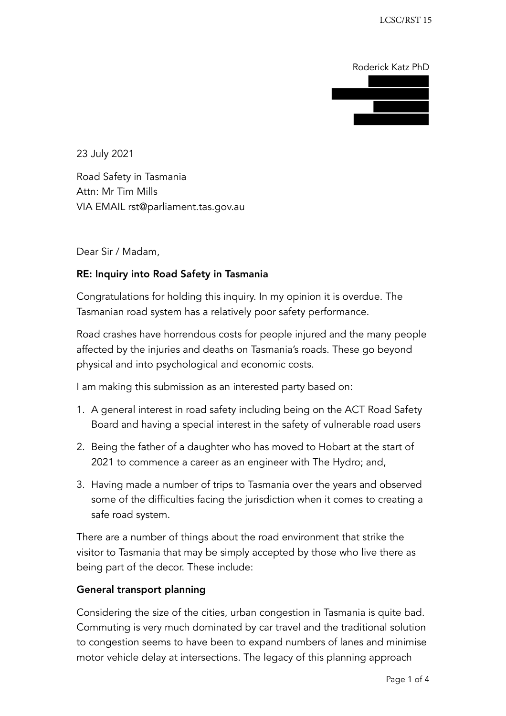Roderick Katz PhD

23 July 2021

Road Safety in Tasmania Attn: Mr Tim Mills VIA EMAIL rst@parliament.tas.gov.au

Dear Sir / Madam,

## RE: Inquiry into Road Safety in Tasmania

Congratulations for holding this inquiry. In my opinion it is overdue. The Tasmanian road system has a relatively poor safety performance.

Road crashes have horrendous costs for people injured and the many people affected by the injuries and deaths on Tasmania's roads. These go beyond physical and into psychological and economic costs.

I am making this submission as an interested party based on:

- 1. A general interest in road safety including being on the ACT Road Safety Board and having a special interest in the safety of vulnerable road users
- 2. Being the father of a daughter who has moved to Hobart at the start of 2021 to commence a career as an engineer with The Hydro; and,
- 3. Having made a number of trips to Tasmania over the years and observed some of the difficulties facing the jurisdiction when it comes to creating a safe road system.

There are a number of things about the road environment that strike the visitor to Tasmania that may be simply accepted by those who live there as being part of the decor. These include:

## General transport planning

Considering the size of the cities, urban congestion in Tasmania is quite bad. Commuting is very much dominated by car travel and the traditional solution to congestion seems to have been to expand numbers of lanes and minimise motor vehicle delay at intersections. The legacy of this planning approach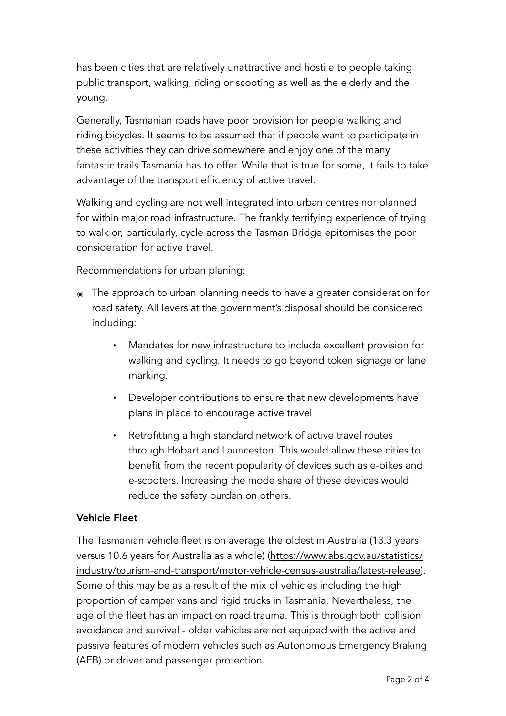has been cities that are relatively unattractive and hostile to people taking public transport, walking, riding or scooting as well as the elderly and the young.

Generally, Tasmanian roads have poor provision for people walking and riding bicycles. It seems to be assumed that if people want to participate in these activities they can drive somewhere and enjoy one of the many fantastic trails Tasmania has to offer. While that is true for some, it fails to take advantage of the transport efficiency of active travel.

Walking and cycling are not well integrated into urban centres nor planned for within major road infrastructure. The frankly terrifying experience of trying to walk or, particularly, cycle across the Tasman Bridge epitomises the poor consideration for active travel.

Recommendations for urban planing:

- ๏ The approach to urban planning needs to have a greater consideration for road safety. All levers at the government's disposal should be considered including:
	- ‣ Mandates for new infrastructure to include excellent provision for walking and cycling. It needs to go beyond token signage or lane marking.
	- ‣ Developer contributions to ensure that new developments have plans in place to encourage active travel
	- Retrofitting a high standard network of active travel routes through Hobart and Launceston. This would allow these cities to benefit from the recent popularity of devices such as e-bikes and e-scooters. Increasing the mode share of these devices would reduce the safety burden on others.

## Vehicle Fleet

The Tasmanian vehicle fleet is on average the oldest in Australia (13.3 years versus 10.6 years for Australia as a whole) ([https://www.abs.gov.au/statistics/](https://www.abs.gov.au/statistics) industry/tourism-and-transport/motor-vehicle-census-australia/latest-release). Some of this may be as a result of the mix of vehicles including the high proportion of camper vans and rigid trucks in Tasmania. Nevertheless, the age of the fleet has an impact on road trauma. This is through both collision avoidance and survival - older vehicles are not equiped with the active and passive features of modern vehicles such as Autonomous Emergency Braking (AEB) or driver and passenger protection.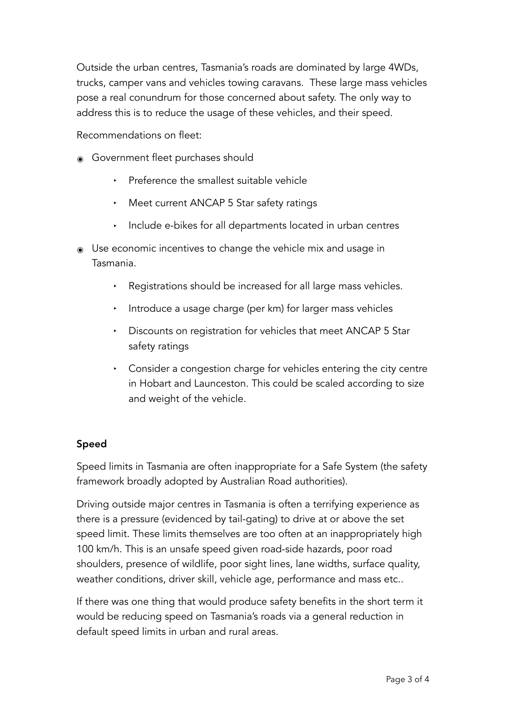Outside the urban centres, Tasmania's roads are dominated by large 4WDs, trucks, camper vans and vehicles towing caravans. These large mass vehicles pose a real conundrum for those concerned about safety. The only way to address this is to reduce the usage of these vehicles, and their speed.

Recommendations on fleet:

- ๏ Government fleet purchases should
	- ‣ Preference the smallest suitable vehicle
	- ‣ Meet current ANCAP 5 Star safety ratings
	- ‣ Include e-bikes for all departments located in urban centres
- ๏ Use economic incentives to change the vehicle mix and usage in Tasmania.
	- ‣ Registrations should be increased for all large mass vehicles.
	- ‣ Introduce a usage charge (per km) for larger mass vehicles
	- ‣ Discounts on registration for vehicles that meet ANCAP 5 Star safety ratings
	- ‣ Consider a congestion charge for vehicles entering the city centre in Hobart and Launceston. This could be scaled according to size and weight of the vehicle.

## Speed

Speed limits in Tasmania are often inappropriate for a Safe System (the safety framework broadly adopted by Australian Road authorities).

Driving outside major centres in Tasmania is often a terrifying experience as there is a pressure (evidenced by tail-gating) to drive at or above the set speed limit. These limits themselves are too often at an inappropriately high 100 km/h. This is an unsafe speed given road-side hazards, poor road shoulders, presence of wildlife, poor sight lines, lane widths, surface quality, weather conditions, driver skill, vehicle age, performance and mass etc..

If there was one thing that would produce safety benefits in the short term it would be reducing speed on Tasmania's roads via a general reduction in default speed limits in urban and rural areas.